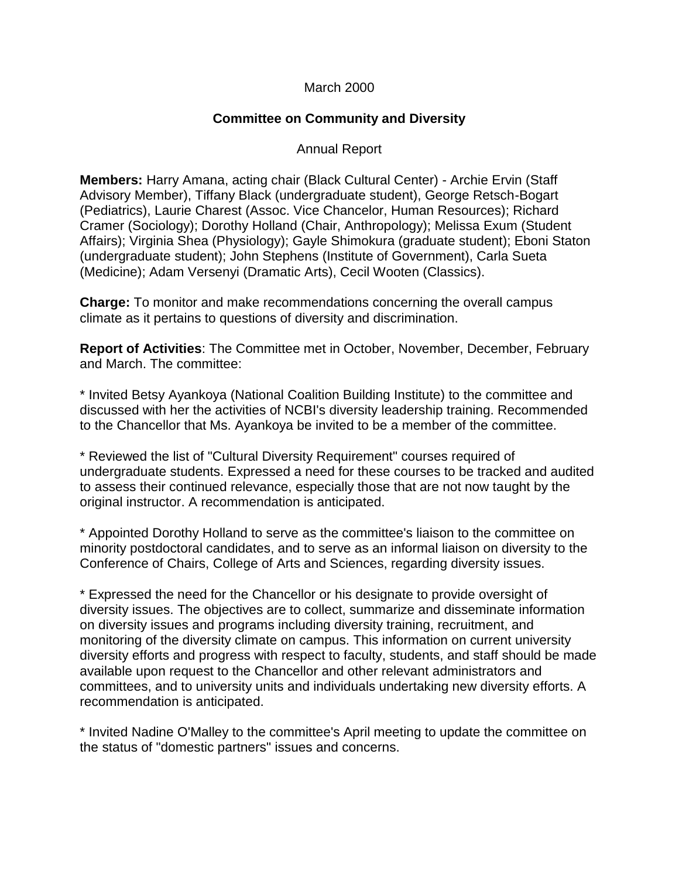## March 2000

## **Committee on Community and Diversity**

## Annual Report

**Members:** Harry Amana, acting chair (Black Cultural Center) - Archie Ervin (Staff Advisory Member), Tiffany Black (undergraduate student), George Retsch-Bogart (Pediatrics), Laurie Charest (Assoc. Vice Chancelor, Human Resources); Richard Cramer (Sociology); Dorothy Holland (Chair, Anthropology); Melissa Exum (Student Affairs); Virginia Shea (Physiology); Gayle Shimokura (graduate student); Eboni Staton (undergraduate student); John Stephens (Institute of Government), Carla Sueta (Medicine); Adam Versenyi (Dramatic Arts), Cecil Wooten (Classics).

**Charge:** To monitor and make recommendations concerning the overall campus climate as it pertains to questions of diversity and discrimination.

**Report of Activities**: The Committee met in October, November, December, February and March. The committee:

\* Invited Betsy Ayankoya (National Coalition Building Institute) to the committee and discussed with her the activities of NCBI's diversity leadership training. Recommended to the Chancellor that Ms. Ayankoya be invited to be a member of the committee.

\* Reviewed the list of "Cultural Diversity Requirement" courses required of undergraduate students. Expressed a need for these courses to be tracked and audited to assess their continued relevance, especially those that are not now taught by the original instructor. A recommendation is anticipated.

\* Appointed Dorothy Holland to serve as the committee's liaison to the committee on minority postdoctoral candidates, and to serve as an informal liaison on diversity to the Conference of Chairs, College of Arts and Sciences, regarding diversity issues.

\* Expressed the need for the Chancellor or his designate to provide oversight of diversity issues. The objectives are to collect, summarize and disseminate information on diversity issues and programs including diversity training, recruitment, and monitoring of the diversity climate on campus. This information on current university diversity efforts and progress with respect to faculty, students, and staff should be made available upon request to the Chancellor and other relevant administrators and committees, and to university units and individuals undertaking new diversity efforts. A recommendation is anticipated.

\* Invited Nadine O'Malley to the committee's April meeting to update the committee on the status of "domestic partners" issues and concerns.